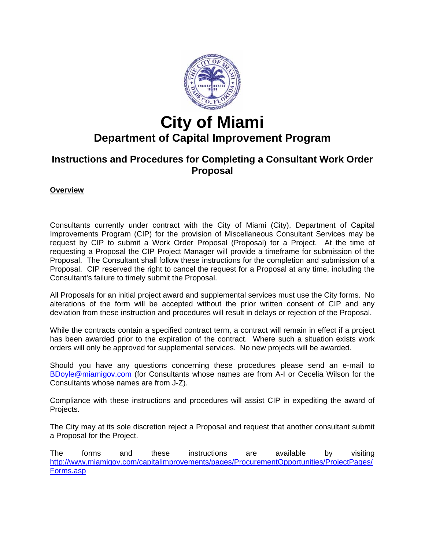

# **City of Miami**

## **Department of Capital Improvement Program**

### **Instructions and Procedures for Completing a Consultant Work Order Proposal**

#### **Overview**

Consultants currently under contract with the City of Miami (City), Department of Capital Improvements Program (CIP) for the provision of Miscellaneous Consultant Services may be request by CIP to submit a Work Order Proposal (Proposal) for a Project. At the time of requesting a Proposal the CIP Project Manager will provide a timeframe for submission of the Proposal. The Consultant shall follow these instructions for the completion and submission of a Proposal. CIP reserved the right to cancel the request for a Proposal at any time, including the Consultant's failure to timely submit the Proposal.

All Proposals for an initial project award and supplemental services must use the City forms. No alterations of the form will be accepted without the prior written consent of CIP and any deviation from these instruction and procedures will result in delays or rejection of the Proposal.

While the contracts contain a specified contract term, a contract will remain in effect if a project has been awarded prior to the expiration of the contract. Where such a situation exists work orders will only be approved for supplemental services. No new projects will be awarded.

Should you have any questions concerning these procedures please send an e-mail to [BDoyle@miamigov.com](mailto:BDoyle@miamigov.com) (for Consultants whose names are from A-I or Cecelia Wilson for the Consultants whose names are from J-Z).

Compliance with these instructions and procedures will assist CIP in expediting the award of Projects.

The City may at its sole discretion reject a Proposal and request that another consultant submit a Proposal for the Project.

The forms and these instructions are available by visiting [http://www.miamigov.com/capitalimprovements/pages/ProcurementOpportunities/ProjectPages/](http://www.miamigov.com/capitalimprovements/pages/ProcurementOpportunities/ProjectPages/Forms.asp) [Forms.asp](http://www.miamigov.com/capitalimprovements/pages/ProcurementOpportunities/ProjectPages/Forms.asp)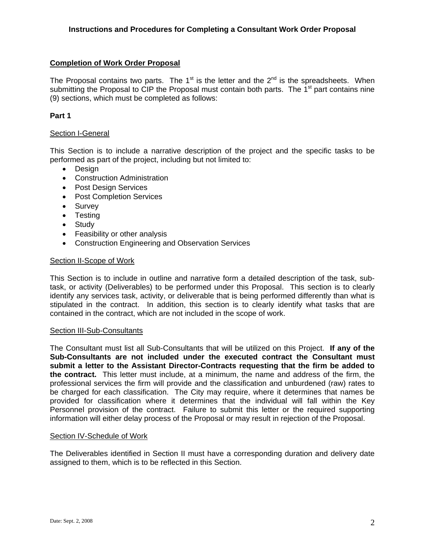#### **Completion of Work Order Proposal**

The Proposal contains two parts. The 1<sup>st</sup> is the letter and the  $2<sup>nd</sup>$  is the spreadsheets. When submitting the Proposal to CIP the Proposal must contain both parts. The  $1<sup>st</sup>$  part contains nine (9) sections, which must be completed as follows:

#### **Part 1**

#### Section I-General

This Section is to include a narrative description of the project and the specific tasks to be performed as part of the project, including but not limited to:

- Design
- Construction Administration
- Post Design Services
- Post Completion Services
- Survey
- Testing
- Study
- Feasibility or other analysis
- Construction Engineering and Observation Services

#### Section II-Scope of Work

This Section is to include in outline and narrative form a detailed description of the task, subtask, or activity (Deliverables) to be performed under this Proposal. This section is to clearly identify any services task, activity, or deliverable that is being performed differently than what is stipulated in the contract. In addition, this section is to clearly identify what tasks that are contained in the contract, which are not included in the scope of work.

#### Section III-Sub-Consultants

The Consultant must list all Sub-Consultants that will be utilized on this Project. **If any of the Sub-Consultants are not included under the executed contract the Consultant must submit a letter to the Assistant Director-Contracts requesting that the firm be added to the contract.** This letter must include, at a minimum, the name and address of the firm, the professional services the firm will provide and the classification and unburdened (raw) rates to be charged for each classification. The City may require, where it determines that names be provided for classification where it determines that the individual will fall within the Key Personnel provision of the contract. Failure to submit this letter or the required supporting information will either delay process of the Proposal or may result in rejection of the Proposal.

#### Section IV-Schedule of Work

The Deliverables identified in Section II must have a corresponding duration and delivery date assigned to them, which is to be reflected in this Section.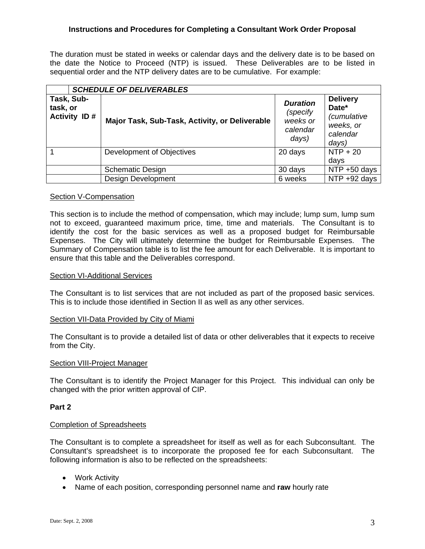#### **Instructions and Procedures for Completing a Consultant Work Order Proposal**

The duration must be stated in weeks or calendar days and the delivery date is to be based on the date the Notice to Proceed (NTP) is issued. These Deliverables are to be listed in sequential order and the NTP delivery dates are to be cumulative. For example:

| <b>SCHEDULE OF DELIVERABLES</b>               |                                                |                                                              |                                                                                  |
|-----------------------------------------------|------------------------------------------------|--------------------------------------------------------------|----------------------------------------------------------------------------------|
| Task, Sub-<br>task, or<br><b>Activity ID#</b> | Major Task, Sub-Task, Activity, or Deliverable | <b>Duration</b><br>(specify<br>weeks or<br>calendar<br>days) | <b>Delivery</b><br>Date*<br><i>(cumulative</i><br>weeks, or<br>calendar<br>days) |
|                                               | Development of Objectives                      | 20 days                                                      | $NTP + 20$<br>days                                                               |
|                                               | <b>Schematic Design</b>                        | 30 days                                                      | NTP +50 days                                                                     |
|                                               | <b>Design Development</b>                      | 6 weeks                                                      | NTP +92 days                                                                     |

#### Section V-Compensation

This section is to include the method of compensation, which may include; lump sum, lump sum not to exceed, guaranteed maximum price, time, time and materials. The Consultant is to identify the cost for the basic services as well as a proposed budget for Reimbursable Expenses. The City will ultimately determine the budget for Reimbursable Expenses. The Summary of Compensation table is to list the fee amount for each Deliverable. It is important to ensure that this table and the Deliverables correspond.

#### Section VI-Additional Services

The Consultant is to list services that are not included as part of the proposed basic services. This is to include those identified in Section II as well as any other services.

#### Section VII-Data Provided by City of Miami

The Consultant is to provide a detailed list of data or other deliverables that it expects to receive from the City.

#### Section VIII-Project Manager

The Consultant is to identify the Project Manager for this Project. This individual can only be changed with the prior written approval of CIP.

#### **Part 2**

#### Completion of Spreadsheets

The Consultant is to complete a spreadsheet for itself as well as for each Subconsultant. The Consultant's spreadsheet is to incorporate the proposed fee for each Subconsultant. The following information is also to be reflected on the spreadsheets:

- Work Activity
- Name of each position, corresponding personnel name and **raw** hourly rate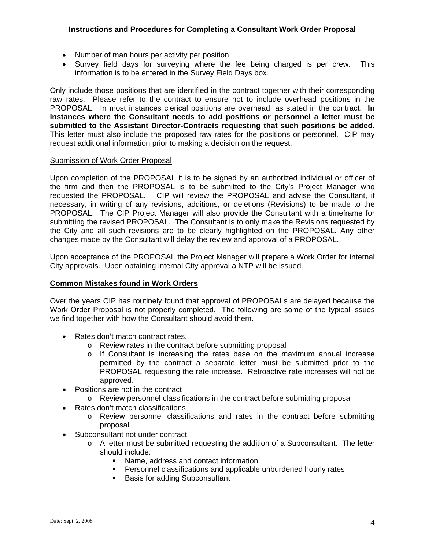#### **Instructions and Procedures for Completing a Consultant Work Order Proposal**

- Number of man hours per activity per position
- Survey field days for surveying where the fee being charged is per crew. This information is to be entered in the Survey Field Days box.

Only include those positions that are identified in the contract together with their corresponding raw rates. Please refer to the contract to ensure not to include overhead positions in the PROPOSAL. In most instances clerical positions are overhead, as stated in the contract. **In instances where the Consultant needs to add positions or personnel a letter must be submitted to the Assistant Director-Contracts requesting that such positions be added.** This letter must also include the proposed raw rates for the positions or personnel. CIP may request additional information prior to making a decision on the request.

#### Submission of Work Order Proposal

Upon completion of the PROPOSAL it is to be signed by an authorized individual or officer of the firm and then the PROPOSAL is to be submitted to the City's Project Manager who requested the PROPOSAL. CIP will review the PROPOSAL and advise the Consultant, if necessary, in writing of any revisions, additions, or deletions (Revisions) to be made to the PROPOSAL. The CIP Project Manager will also provide the Consultant with a timeframe for submitting the revised PROPOSAL. The Consultant is to only make the Revisions requested by the City and all such revisions are to be clearly highlighted on the PROPOSAL. Any other changes made by the Consultant will delay the review and approval of a PROPOSAL.

Upon acceptance of the PROPOSAL the Project Manager will prepare a Work Order for internal City approvals. Upon obtaining internal City approval a NTP will be issued.

#### **Common Mistakes found in Work Orders**

Over the years CIP has routinely found that approval of PROPOSALs are delayed because the Work Order Proposal is not properly completed. The following are some of the typical issues we find together with how the Consultant should avoid them.

- Rates don't match contract rates.
	- o Review rates in the contract before submitting proposal
	- o If Consultant is increasing the rates base on the maximum annual increase permitted by the contract a separate letter must be submitted prior to the PROPOSAL requesting the rate increase. Retroactive rate increases will not be approved.
- Positions are not in the contract
	- o Review personnel classifications in the contract before submitting proposal
- Rates don't match classifications
	- o Review personnel classifications and rates in the contract before submitting proposal
- Subconsultant not under contract
	- $\circ$  A letter must be submitted requesting the addition of a Subconsultant. The letter should include:
		- Name, address and contact information
		- Personnel classifications and applicable unburdened hourly rates
		- **Basis for adding Subconsultant**